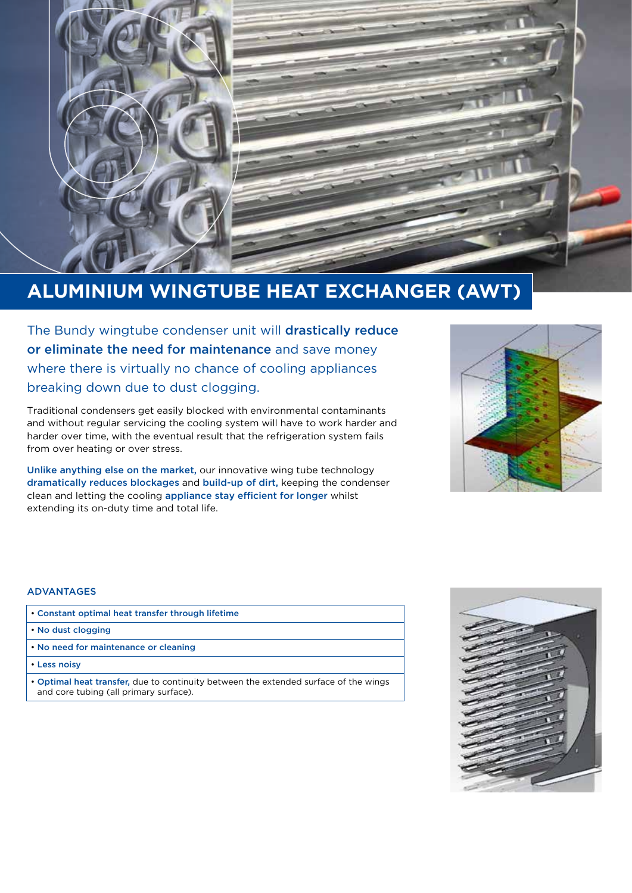

# **ALUMINIUM WINGTUBE HEAT EXCHANGER (AWT)**

The Bundy wingtube condenser unit will drastically reduce or eliminate the need for maintenance and save money where there is virtually no chance of cooling appliances breaking down due to dust clogging.

Traditional condensers get easily blocked with environmental contaminants and without regular servicing the cooling system will have to work harder and harder over time, with the eventual result that the refrigeration system fails from over heating or over stress.

Unlike anything else on the market, our innovative wing tube technology dramatically reduces blockages and build-up of dirt, keeping the condenser clean and letting the cooling appliance stay efficient for longer whilst extending its on-duty time and total life.



## ADVANTAGES

| • Constant optimal heat transfer through lifetime |
|---------------------------------------------------|
|---------------------------------------------------|

- No dust clogging
- No need for maintenance or cleaning
- Less noisy
- Optimal heat transfer, due to continuity between the extended surface of the wings and core tubing (all primary surface).